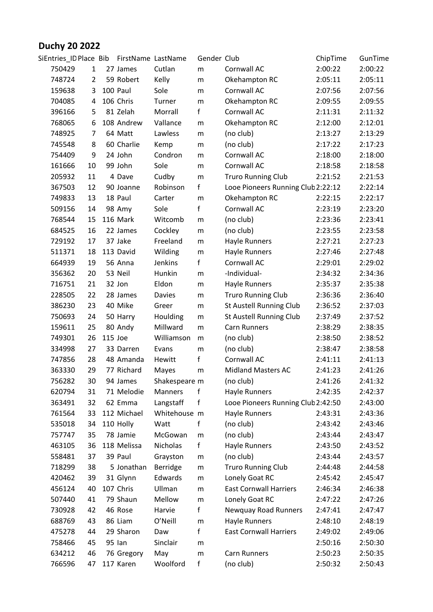## **Duchy 20 2022**

| SiEntries_ID Place Bib |                |         | FirstName LastName |               | Gender Club  |                                    | ChipTime | GunTime |
|------------------------|----------------|---------|--------------------|---------------|--------------|------------------------------------|----------|---------|
| 750429                 | 1              |         | 27 James           | Cutlan        | m            | Cornwall AC                        | 2:00:22  | 2:00:22 |
| 748724                 | $\overline{2}$ |         | 59 Robert          | Kelly         | m            | Okehampton RC                      | 2:05:11  | 2:05:11 |
| 159638                 | 3              |         | 100 Paul           | Sole          | m            | Cornwall AC                        | 2:07:56  | 2:07:56 |
| 704085                 | 4              |         | 106 Chris          | Turner        | m            | Okehampton RC                      | 2:09:55  | 2:09:55 |
| 396166                 | 5              |         | 81 Zelah           | Morrall       | $\mathsf{f}$ | Cornwall AC                        | 2:11:31  | 2:11:32 |
| 768065                 | 6              |         | 108 Andrew         | Vallance      | ${\sf m}$    | Okehampton RC                      | 2:12:00  | 2:12:01 |
| 748925                 | 7              |         | 64 Matt            | Lawless       | m            | (no club)                          | 2:13:27  | 2:13:29 |
| 745548                 | 8              |         | 60 Charlie         | Kemp          | ${\sf m}$    | (no club)                          | 2:17:22  | 2:17:23 |
| 754409                 | 9              |         | 24 John            | Condron       | m            | Cornwall AC                        | 2:18:00  | 2:18:00 |
| 161666                 | 10             |         | 99 John            | Sole          | m            | Cornwall AC                        | 2:18:58  | 2:18:58 |
| 205932                 | 11             |         | 4 Dave             | Cudby         | ${\sf m}$    | <b>Truro Running Club</b>          | 2:21:52  | 2:21:53 |
| 367503                 | 12             |         | 90 Joanne          | Robinson      | f            | Looe Pioneers Running Club 2:22:12 |          | 2:22:14 |
| 749833                 | 13             |         | 18 Paul            | Carter        | ${\sf m}$    | Okehampton RC                      | 2:22:15  | 2:22:17 |
| 509156                 | 14             |         | 98 Amy             | Sole          | $\mathsf{f}$ | Cornwall AC                        | 2:23:19  | 2:23:20 |
| 768544                 | 15             |         | 116 Mark           | Witcomb       | m            | (no club)                          | 2:23:36  | 2:23:41 |
| 684525                 | 16             |         | 22 James           | Cockley       | ${\sf m}$    | (no club)                          | 2:23:55  | 2:23:58 |
| 729192                 | 17             |         | 37 Jake            | Freeland      | m            | <b>Hayle Runners</b>               | 2:27:21  | 2:27:23 |
| 511371                 | 18             |         | 113 David          | Wilding       | ${\sf m}$    | <b>Hayle Runners</b>               | 2:27:46  | 2:27:48 |
| 664939                 | 19             |         | 56 Anna            | Jenkins       | f            | Cornwall AC                        | 2:29:01  | 2:29:02 |
| 356362                 | 20             |         | 53 Neil            | Hunkin        | ${\sf m}$    | -Individual-                       | 2:34:32  | 2:34:36 |
| 716751                 | 21             |         | 32 Jon             | Eldon         | ${\sf m}$    | <b>Hayle Runners</b>               | 2:35:37  | 2:35:38 |
| 228505                 | 22             |         | 28 James           | Davies        | m            | <b>Truro Running Club</b>          | 2:36:36  | 2:36:40 |
| 386230                 | 23             |         | 40 Mike            | Greer         | ${\sf m}$    | St Austell Running Club            | 2:36:52  | 2:37:03 |
| 750693                 | 24             |         | 50 Harry           | Houlding      | m            | St Austell Running Club            | 2:37:49  | 2:37:52 |
| 159611                 | 25             |         | 80 Andy            | Millward      | m            | Carn Runners                       | 2:38:29  | 2:38:35 |
| 749301                 | 26             | 115 Joe |                    | Williamson    | m            | (no club)                          | 2:38:50  | 2:38:52 |
| 334998                 | 27             |         | 33 Darren          | Evans         | m            | (no club)                          | 2:38:47  | 2:38:58 |
| 747856                 | 28             |         | 48 Amanda          | Hewitt        | $\mathsf{f}$ | Cornwall AC                        | 2:41:11  | 2:41:13 |
| 363330                 | 29             |         | 77 Richard         | Mayes         | ${\sf m}$    | <b>Midland Masters AC</b>          | 2:41:23  | 2:41:26 |
| 756282                 | 30             |         | 94 James           | Shakespeare m |              | (no club)                          | 2:41:26  | 2:41:32 |
| 620794                 | 31             |         | 71 Melodie         | Manners       | f            | Hayle Runners                      | 2:42:35  | 2:42:37 |
| 363491                 | 32             |         | 62 Emma            | Langstaff     | f            | Looe Pioneers Running Club 2:42:50 |          | 2:43:00 |
| 761564                 | 33             |         | 112 Michael        | Whitehouse m  |              | Hayle Runners                      | 2:43:31  | 2:43:36 |
| 535018                 | 34             |         | 110 Holly          | Watt          | f            | (no club)                          | 2:43:42  | 2:43:46 |
| 757747                 | 35             |         | 78 Jamie           | McGowan       | m            | (no club)                          | 2:43:44  | 2:43:47 |
| 463105                 | 36             |         | 118 Melissa        | Nicholas      | f            | <b>Hayle Runners</b>               | 2:43:50  | 2:43:52 |
| 558481                 | 37             |         | 39 Paul            | Grayston      | m            | (no club)                          | 2:43:44  | 2:43:57 |
| 718299                 | 38             |         | 5 Jonathan         | Berridge      | ${\sf m}$    | <b>Truro Running Club</b>          | 2:44:48  | 2:44:58 |
| 420462                 | 39             |         | 31 Glynn           | Edwards       | ${\sf m}$    | Lonely Goat RC                     | 2:45:42  | 2:45:47 |
| 456124                 | 40             |         | 107 Chris          | Ullman        | m            | <b>East Cornwall Harriers</b>      | 2:46:34  | 2:46:38 |
| 507440                 | 41             |         | 79 Shaun           | Mellow        | ${\sf m}$    | Lonely Goat RC                     | 2:47:22  | 2:47:26 |
| 730928                 | 42             |         | 46 Rose            | Harvie        | f            | <b>Newquay Road Runners</b>        | 2:47:41  | 2:47:47 |
| 688769                 | 43             |         | 86 Liam            | O'Neill       | m            | Hayle Runners                      | 2:48:10  | 2:48:19 |
| 475278                 | 44             |         | 29 Sharon          | Daw           | f            | <b>East Cornwall Harriers</b>      | 2:49:02  | 2:49:06 |
| 758466                 | 45             |         | 95 Ian             | Sinclair      | m            |                                    | 2:50:16  | 2:50:30 |
| 634212                 | 46             |         | 76 Gregory         | May           | m            | Carn Runners                       | 2:50:23  | 2:50:35 |
| 766596                 | 47             |         | 117 Karen          | Woolford      | f            | (no club)                          | 2:50:32  | 2:50:43 |
|                        |                |         |                    |               |              |                                    |          |         |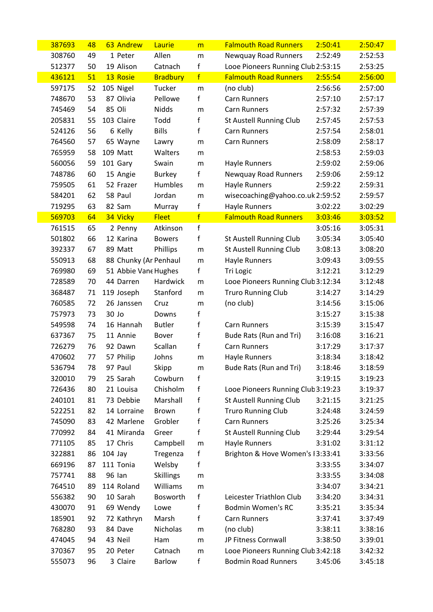| 387693 | 48 | 63 Andrew             | Laurie           | m            | <b>Falmouth Road Runners</b>       | 2:50:41 | 2:50:47 |
|--------|----|-----------------------|------------------|--------------|------------------------------------|---------|---------|
| 308760 | 49 | 1 Peter               | Allen            | m            | Newquay Road Runners               | 2:52:49 | 2:52:53 |
| 512377 | 50 | 19 Alison             | Catnach          | f            | Looe Pioneers Running Club 2:53:15 |         | 2:53:25 |
| 436121 | 51 | 13 Rosie              | <b>Bradbury</b>  | f            | <b>Falmouth Road Runners</b>       | 2:55:54 | 2:56:00 |
| 597175 | 52 | 105 Nigel             | Tucker           | m            | (no club)                          | 2:56:56 | 2:57:00 |
| 748670 | 53 | 87 Olivia             | Pellowe          | f            | <b>Carn Runners</b>                | 2:57:10 | 2:57:17 |
| 745469 | 54 | 85 Oli                | <b>Nidds</b>     | m            | <b>Carn Runners</b>                | 2:57:32 | 2:57:39 |
| 205831 | 55 | 103 Claire            | Todd             | $\mathbf f$  | St Austell Running Club            | 2:57:45 | 2:57:53 |
| 524126 | 56 | 6 Kelly               | <b>Bills</b>     | $\mathsf{f}$ | <b>Carn Runners</b>                | 2:57:54 | 2:58:01 |
| 764560 | 57 | 65 Wayne              | Lawry            | m            | <b>Carn Runners</b>                | 2:58:09 | 2:58:17 |
| 765959 | 58 | 109 Matt              | Walters          | m            |                                    | 2:58:53 | 2:59:03 |
| 560056 | 59 | 101 Gary              | Swain            | m            | <b>Hayle Runners</b>               | 2:59:02 | 2:59:06 |
| 748786 | 60 | 15 Angie              | <b>Burkey</b>    | $\mathsf f$  | <b>Newquay Road Runners</b>        | 2:59:06 | 2:59:12 |
| 759505 | 61 | 52 Frazer             | Humbles          | m            | <b>Hayle Runners</b>               | 2:59:22 | 2:59:31 |
| 584201 | 62 | 58 Paul               | Jordan           | m            | wisecoaching@yahoo.co.uk2:59:52    |         | 2:59:57 |
| 719295 | 63 | 82 Sam                | Murray           | $\mathsf f$  | <b>Hayle Runners</b>               | 3:02:22 | 3:02:29 |
| 569703 | 64 | 34 Vicky              | <b>Fleet</b>     | f            | <b>Falmouth Road Runners</b>       | 3:03:46 | 3:03:52 |
| 761515 | 65 | 2 Penny               | Atkinson         | $\mathsf f$  |                                    | 3:05:16 | 3:05:31 |
| 501802 | 66 | 12 Karina             | <b>Bowers</b>    | f            | <b>St Austell Running Club</b>     | 3:05:34 | 3:05:40 |
| 392337 | 67 | 89 Matt               | Phillips         | m            | St Austell Running Club            | 3:08:13 | 3:08:20 |
| 550913 | 68 | 88 Chunky (Ar Penhaul |                  | m            | <b>Hayle Runners</b>               | 3:09:43 | 3:09:55 |
| 769980 | 69 | 51 Abbie Vane Hughes  |                  | $\mathsf f$  | Tri Logic                          | 3:12:21 | 3:12:29 |
| 728589 | 70 | 44 Darren             | Hardwick         | m            | Looe Pioneers Running Club 3:12:34 |         | 3:12:48 |
| 368487 | 71 | 119 Joseph            | Stanford         | m            | <b>Truro Running Club</b>          | 3:14:27 | 3:14:29 |
| 760585 | 72 | 26 Janssen            | Cruz             | m            | (no club)                          | 3:14:56 | 3:15:06 |
| 757973 | 73 | 30 Jo                 | Downs            | $\mathsf{f}$ |                                    | 3:15:27 | 3:15:38 |
| 549598 | 74 | 16 Hannah             | <b>Butler</b>    | f            | <b>Carn Runners</b>                | 3:15:39 | 3:15:47 |
| 637367 | 75 | 11 Annie              | Bover            | f            | Bude Rats (Run and Tri)            | 3:16:08 | 3:16:21 |
| 726279 | 76 | 92 Dawn               | Scallan          | $\mathbf f$  | <b>Carn Runners</b>                | 3:17:29 | 3:17:37 |
| 470602 | 77 | 57 Philip             | Johns            | m            | <b>Hayle Runners</b>               | 3:18:34 | 3:18:42 |
| 536794 | 78 | 97 Paul               | Skipp            | m            | Bude Rats (Run and Tri)            | 3:18:46 | 3:18:59 |
| 320010 | 79 | 25 Sarah              | Cowburn          | $\mathbf f$  |                                    | 3:19:15 | 3:19:23 |
| 726436 | 80 | 21 Louisa             | Chisholm         | $\mathsf f$  | Looe Pioneers Running Club 3:19:23 |         | 3:19:37 |
| 240101 | 81 | 73 Debbie             | Marshall         | f            | St Austell Running Club            | 3:21:15 | 3:21:25 |
| 522251 | 82 | 14 Lorraine           | Brown            | f            | <b>Truro Running Club</b>          | 3:24:48 | 3:24:59 |
| 745090 | 83 | 42 Marlene            | Grobler          | f            | <b>Carn Runners</b>                | 3:25:26 | 3:25:34 |
| 770992 | 84 | 41 Miranda            | Greer            | $\mathsf f$  | <b>St Austell Running Club</b>     | 3:29:44 | 3:29:54 |
| 771105 | 85 | 17 Chris              | Campbell         | m            | <b>Hayle Runners</b>               | 3:31:02 | 3:31:12 |
| 322881 | 86 | $104$ Jay             | Tregenza         | $\mathsf f$  | Brighton & Hove Women's 13:33:41   |         | 3:33:56 |
| 669196 | 87 | 111 Tonia             | Welsby           | f            |                                    | 3:33:55 | 3:34:07 |
| 757741 | 88 | 96 Ian                | <b>Skillings</b> | m            |                                    | 3:33:55 | 3:34:08 |
| 764510 | 89 | 114 Roland            | Williams         | m            |                                    | 3:34:07 | 3:34:21 |
| 556382 | 90 | 10 Sarah              | Bosworth         | $\mathsf f$  | Leicester Triathlon Club           | 3:34:20 | 3:34:31 |
| 430070 | 91 | 69 Wendy              | Lowe             | f            | Bodmin Women's RC                  | 3:35:21 | 3:35:34 |
| 185901 | 92 | 72 Kathryn            | Marsh            | f            | <b>Carn Runners</b>                | 3:37:41 | 3:37:49 |
| 768280 | 93 | 84 Dave               | Nicholas         | m            | (no club)                          | 3:38:11 | 3:38:16 |
| 474045 | 94 | 43 Neil               | Ham              | m            | JP Fitness Cornwall                | 3:38:50 | 3:39:01 |
| 370367 | 95 | 20 Peter              | Catnach          | ${\sf m}$    | Looe Pioneers Running Club 3:42:18 |         | 3:42:32 |
| 555073 | 96 | 3 Claire              | Barlow           | f            | <b>Bodmin Road Runners</b>         | 3:45:06 | 3:45:18 |